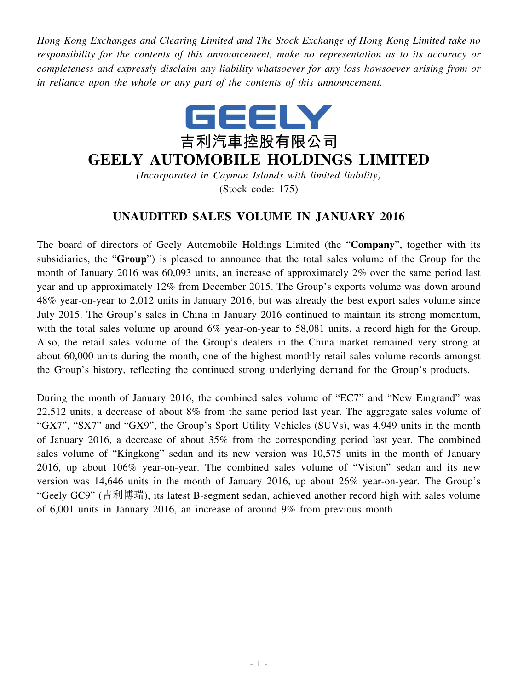*Hong Kong Exchanges and Clearing Limited and The Stock Exchange of Hong Kong Limited take no responsibility for the contents of this announcement, make no representation as to its accuracy or completeness and expressly disclaim any liability whatsoever for any loss howsoever arising from or in reliance upon the whole or any part of the contents of this announcement.*



## **GEELY AUTOMOBILE HOLDINGS LIMITED**

*(Incorporated in Cayman Islands with limited liability)* (Stock code: 175)

## **UNAUDITED SALES VOLUME IN JANUARY 2016**

The board of directors of Geely Automobile Holdings Limited (the "**Company**", together with its subsidiaries, the "**Group**") is pleased to announce that the total sales volume of the Group for the month of January 2016 was 60,093 units, an increase of approximately 2% over the same period last year and up approximately 12% from December 2015. The Group's exports volume was down around 48% year-on-year to 2,012 units in January 2016, but was already the best export sales volume since July 2015. The Group's sales in China in January 2016 continued to maintain its strong momentum, with the total sales volume up around 6% year-on-year to 58,081 units, a record high for the Group. Also, the retail sales volume of the Group's dealers in the China market remained very strong at about 60,000 units during the month, one of the highest monthly retail sales volume records amongst the Group's history, reflecting the continued strong underlying demand for the Group's products.

During the month of January 2016, the combined sales volume of "EC7" and "New Emgrand" was 22,512 units, a decrease of about 8% from the same period last year. The aggregate sales volume of "GX7", "SX7" and "GX9", the Group's Sport Utility Vehicles (SUVs), was 4,949 units in the month of January 2016, a decrease of about 35% from the corresponding period last year. The combined sales volume of "Kingkong" sedan and its new version was 10,575 units in the month of January 2016, up about 106% year-on-year. The combined sales volume of "Vision" sedan and its new version was 14,646 units in the month of January 2016, up about 26% year-on-year. The Group's "Geely GC9" (吉利博瑞), its latest B-segment sedan, achieved another record high with sales volume of 6,001 units in January 2016, an increase of around 9% from previous month.